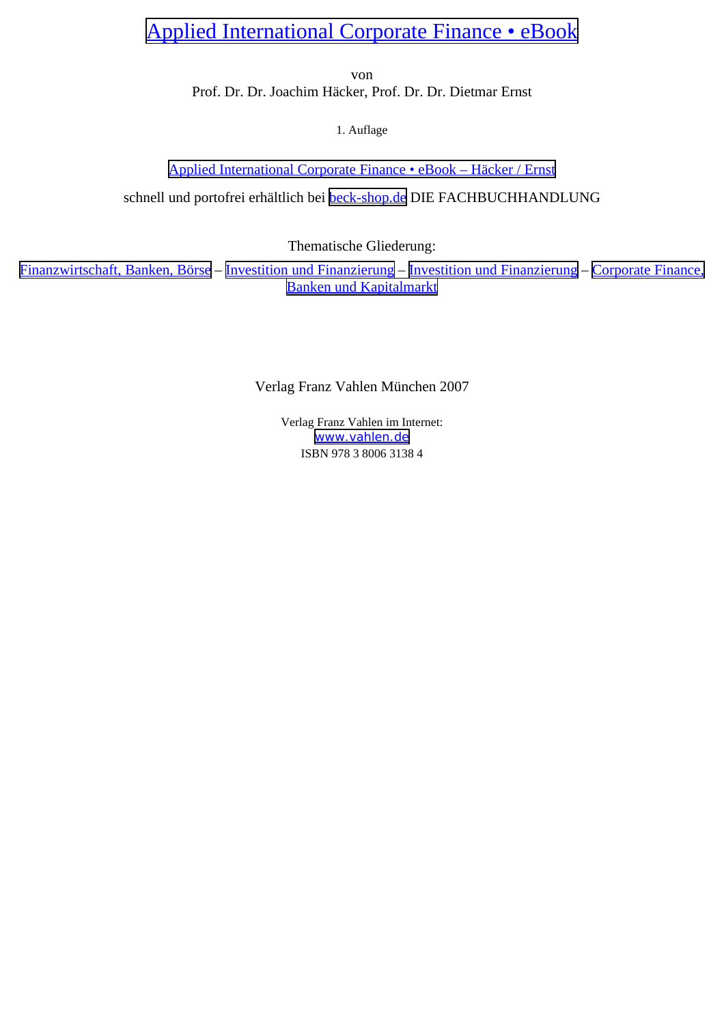# Applied International [Corporate](http://www.beck-shop.de/Ernst-H�cker-Applied-International-Corporate-Finance/productview.aspx?product=10313&utm_source=pdf&utm_medium=clickthru_ihv&utm_campaign=pdf_10313&campaign=pdf/10313) Finance • eBook

von

Prof. Dr. Dr. Joachim Häcker, Prof. Dr. Dr. Dietmar Ernst

1. Auflage

Applied International [Corporate](http://www.beck-shop.de/Ernst-H�cker-Applied-International-Corporate-Finance/productview.aspx?product=10313&utm_source=pdf&utm_medium=clickthru_ihv&utm_campaign=pdf_10313&campaign=pdf/10313) Finance • eBook – Häcker / Ernst

schnell und portofrei erhältlich bei [beck-shop.de](http://www.beck-shop.de?utm_source=pdf&utm_medium=clickthru_ihv&utm_campaign=pdf_10313&campaign=pdf/10313) DIE FACHBUCHHANDLUNG

Thematische Gliederung:

[Finanzwirtschaft,](http://www.beck-shop.de/trefferListe.aspx?toc=272&page=0&utm_source=pdf&utm_medium=clickthru_ihv&utm_campaign=pdf_10313&campaign=pdf/10313) Banken, Börse – Investition und [Finanzierung](http://www.beck-shop.de/trefferListe.aspx?toc=1339&page=0&utm_source=pdf&utm_medium=clickthru_ihv&utm_campaign=pdf_10313&campaign=pdf/10313) – Investition und [Finanzierung](http://www.beck-shop.de/trefferListe.aspx?toc=3748&page=0&utm_source=pdf&utm_medium=clickthru_ihv&utm_campaign=pdf_10313&campaign=pdf/10313) – [Corporate](http://www.beck-shop.de/trefferListe.aspx?toc=3761&page=0&utm_source=pdf&utm_medium=clickthru_ihv&utm_campaign=pdf_10313&campaign=pdf/10313) Finance, Banken und [Kapitalmarkt](http://www.beck-shop.de/trefferListe.aspx?toc=3761&page=0&utm_source=pdf&utm_medium=clickthru_ihv&utm_campaign=pdf_10313&campaign=pdf/10313)

Verlag Franz Vahlen München 2007

Verlag Franz Vahlen im Internet: [www.vahlen.de](http://www.vahlen.de) ISBN 978 3 8006 3138 4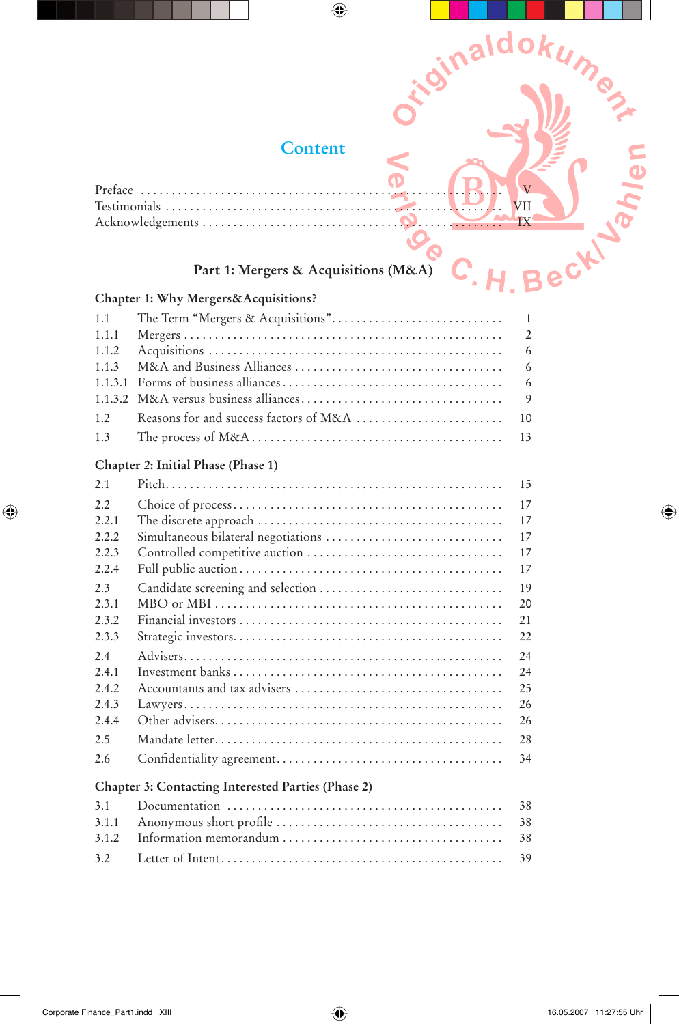# **Content**

 $\bigoplus$ 

**-**

*<u>Sinaldok</u>* 

**Umest** 

 $\bigoplus$ 

|              | <b>Content</b>                       |  |  |
|--------------|--------------------------------------|--|--|
|              |                                      |  |  |
| Testimonials |                                      |  |  |
|              |                                      |  |  |
|              | Part 1: Mergers & Acquisitions (M&A) |  |  |

# **Part 1: Mergers & Acquisitions (M&A)**

## **Chapter 1: Why Mergers&Acquisitions?**

| 1.2 |  |
|-----|--|
|     |  |

#### **Chapter 2: Initial Phase (Phase 1)**

 $\bigoplus$ 

| 2.1   |                                                    | 15 |
|-------|----------------------------------------------------|----|
| 2.2   |                                                    | 17 |
| 2.2.1 |                                                    | 17 |
| 2.2.2 |                                                    | 17 |
| 2.2.3 |                                                    | 17 |
| 2.2.4 |                                                    | 17 |
| 2.3   | Candidate screening and selection                  | 19 |
| 2.3.1 |                                                    | 20 |
| 2.3.2 |                                                    | 21 |
| 2.3.3 |                                                    | 22 |
| 2.4   |                                                    | 24 |
| 2.4.1 |                                                    | 24 |
| 2.4.2 |                                                    | 25 |
| 2.4.3 |                                                    | 26 |
| 2.4.4 |                                                    | 26 |
| 2.5   |                                                    | 28 |
| 2.6   |                                                    | 34 |
|       | Chapter 3: Contacting Interested Parties (Phase 2) |    |
| 3.1   |                                                    | 38 |
| 3.1.1 |                                                    | 38 |

3.1.2 Information memorandum . . . . . . . . . . . . . . . . . . . . . . . . . . . . . . . . . . . . 38 3.2 Letter of Intent . . . . . . . . . . . . . . . . . . . . . . . . . . . . . . . . . . . . . . . . . . . . . . 39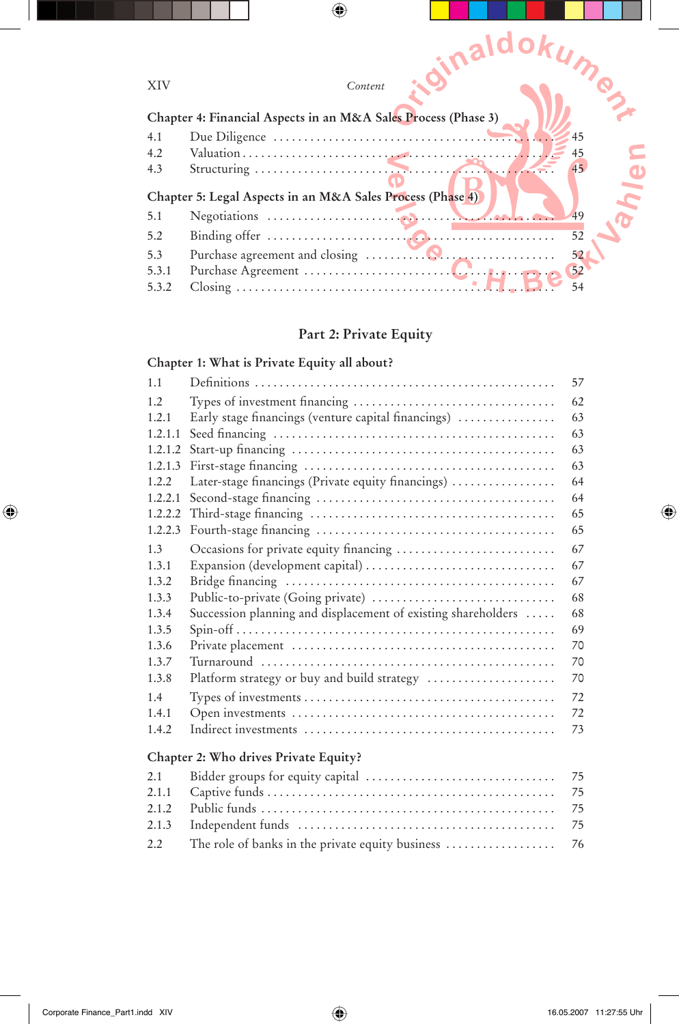| <b>XIV</b> | naldokum<br>Content                                            |    |
|------------|----------------------------------------------------------------|----|
|            | Chapter 4: Financial Aspects in an M&A Sales Process (Phase 3) |    |
| 4.1        |                                                                | 45 |
| 4.2        |                                                                | 45 |
| 4.3        |                                                                | 45 |
|            | Chapter 5: Legal Aspects in an M&A Sales Process (Phase 4)     |    |
| 5.1        |                                                                | 49 |
| 5.2        |                                                                | 52 |
| 5.3        |                                                                | 52 |
| 5.3.1      |                                                                | 52 |
| 5.3.2      |                                                                | 54 |

# **Part 2: Private Equity**

## **Chapter 1: What is Private Equity all about?**

| 1.1     |                                                               | 57 |
|---------|---------------------------------------------------------------|----|
| 1.2     |                                                               | 62 |
| 1.2.1   | Early stage financings (venture capital financings)           | 63 |
| 1.2.1.1 |                                                               | 63 |
| 1.2.1.2 |                                                               | 63 |
| 1.2.1.3 |                                                               | 63 |
| 1.2.2   | Later-stage financings (Private equity financings)            | 64 |
| 1.2.2.1 |                                                               | 64 |
| 1.2.2.2 |                                                               | 65 |
| 1.2.2.3 |                                                               | 65 |
| 1.3     | Occasions for private equity financing                        | 67 |
| 1.3.1   |                                                               | 67 |
| 1.3.2   |                                                               | 67 |
| 1.3.3   | Public-to-private (Going private)                             | 68 |
| 1.3.4   | Succession planning and displacement of existing shareholders | 68 |
| 1.3.5   |                                                               | 69 |
| 1.3.6   |                                                               | 70 |
| 1.3.7   |                                                               | 70 |
| 1.3.8   | Platform strategy or buy and build strategy                   | 70 |
| 1.4     |                                                               | 72 |
| 1.4.1   |                                                               | 72 |
| 1.4.2   |                                                               | 73 |
|         | Chapter 2: Who drives Private Equity?                         |    |
| 2.1     |                                                               | 75 |
| 2.1.1   |                                                               | 75 |
| 2.1.2   |                                                               | 75 |
| 2.1.3   |                                                               | 75 |
| 2.2     | The role of banks in the private equity business              | 76 |

 $\bigoplus$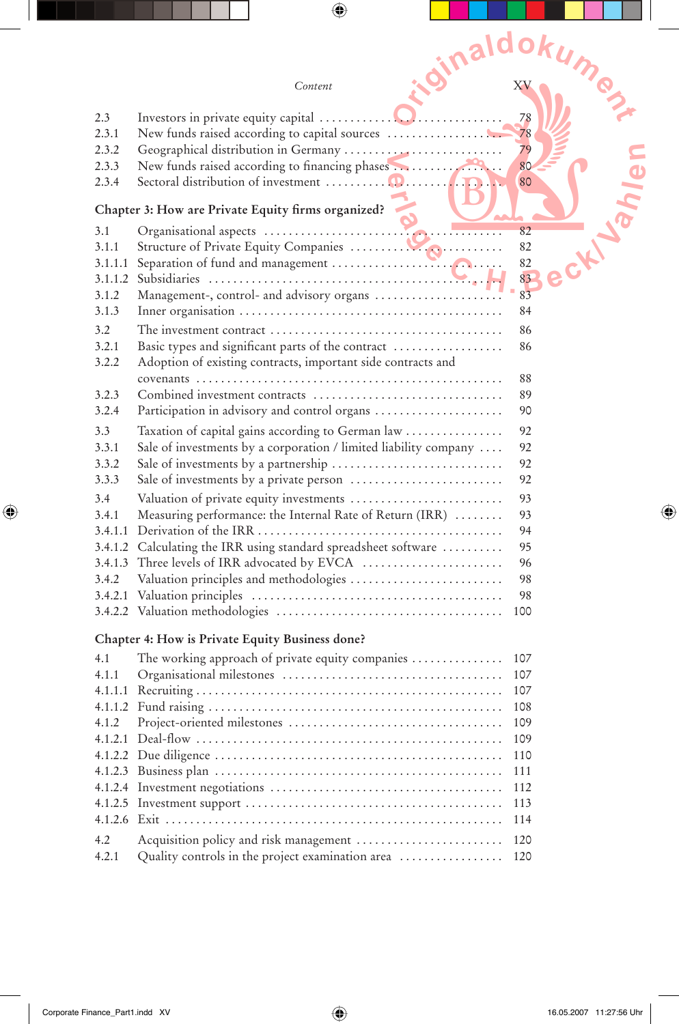|               |  |                                                                                                                  |  | idinaldokume |  |
|---------------|--|------------------------------------------------------------------------------------------------------------------|--|--------------|--|
|               |  | Content                                                                                                          |  |              |  |
| 2.3           |  |                                                                                                                  |  | 78           |  |
| 2.3.1         |  | New funds raised according to capital sources                                                                    |  | 78           |  |
| 2.3.2         |  |                                                                                                                  |  | 79           |  |
| 2.3.3         |  | New funds raised according to financing phases                                                                   |  | 80           |  |
| 2.3.4         |  |                                                                                                                  |  | 80           |  |
|               |  | Chapter 3: How are Private Equity firms organized?                                                               |  |              |  |
| 3.1           |  |                                                                                                                  |  | 82           |  |
| 3.1.1         |  |                                                                                                                  |  | 82           |  |
| 3.1.1.1       |  |                                                                                                                  |  | 82<br>83     |  |
| 3.1.2         |  | Management-, control- and advisory organs                                                                        |  | 83           |  |
| 3.1.3         |  |                                                                                                                  |  | 84           |  |
| $3.2^{\circ}$ |  |                                                                                                                  |  | 86           |  |
| 3.2.1         |  | Basic types and significant parts of the contract                                                                |  | 86           |  |
| 3.2.2         |  | Adoption of existing contracts, important side contracts and                                                     |  |              |  |
|               |  |                                                                                                                  |  | 88           |  |
| 3.2.3         |  | Combined investment contracts                                                                                    |  | 89           |  |
| 3.2.4         |  | Participation in advisory and control organs                                                                     |  | 90           |  |
| 3.3<br>3.3.1  |  | Taxation of capital gains according to German law                                                                |  | 92<br>92     |  |
| 3.3.2         |  | Sale of investments by a corporation / limited liability company $\dots$<br>Sale of investments by a partnership |  | 92           |  |
| 3.3.3         |  |                                                                                                                  |  | 92           |  |
| 3.4           |  | Valuation of private equity investments                                                                          |  | 93           |  |
| 3.4.1         |  | Measuring performance: the Internal Rate of Return (IRR)                                                         |  | 93           |  |
| 3.4.1.1       |  |                                                                                                                  |  | 94           |  |
| 3.4.1.2       |  | Calculating the IRR using standard spreadsheet software                                                          |  | 95           |  |
| 3.4.1.3       |  |                                                                                                                  |  | 96           |  |
| 3.4.2         |  | Valuation principles and methodologies                                                                           |  | 98<br>98     |  |
|               |  |                                                                                                                  |  | 100          |  |
|               |  |                                                                                                                  |  |              |  |
|               |  | Chapter 4: How is Private Equity Business done?                                                                  |  |              |  |
| 4.1           |  | The working approach of private equity companies                                                                 |  | 107          |  |
| 4.1.1         |  |                                                                                                                  |  | 107          |  |
|               |  |                                                                                                                  |  | 107<br>108   |  |
| 4.1.2         |  |                                                                                                                  |  | 109          |  |
| 4.1.2.1       |  |                                                                                                                  |  | 109          |  |
|               |  |                                                                                                                  |  | 110          |  |
| 4.1.2.3       |  |                                                                                                                  |  | 111          |  |
|               |  |                                                                                                                  |  | 112          |  |
|               |  |                                                                                                                  |  | 113<br>114   |  |
|               |  |                                                                                                                  |  |              |  |
| 4.2<br>4.2.1  |  | Quality controls in the project examination area                                                                 |  | 120<br>120   |  |
|               |  |                                                                                                                  |  |              |  |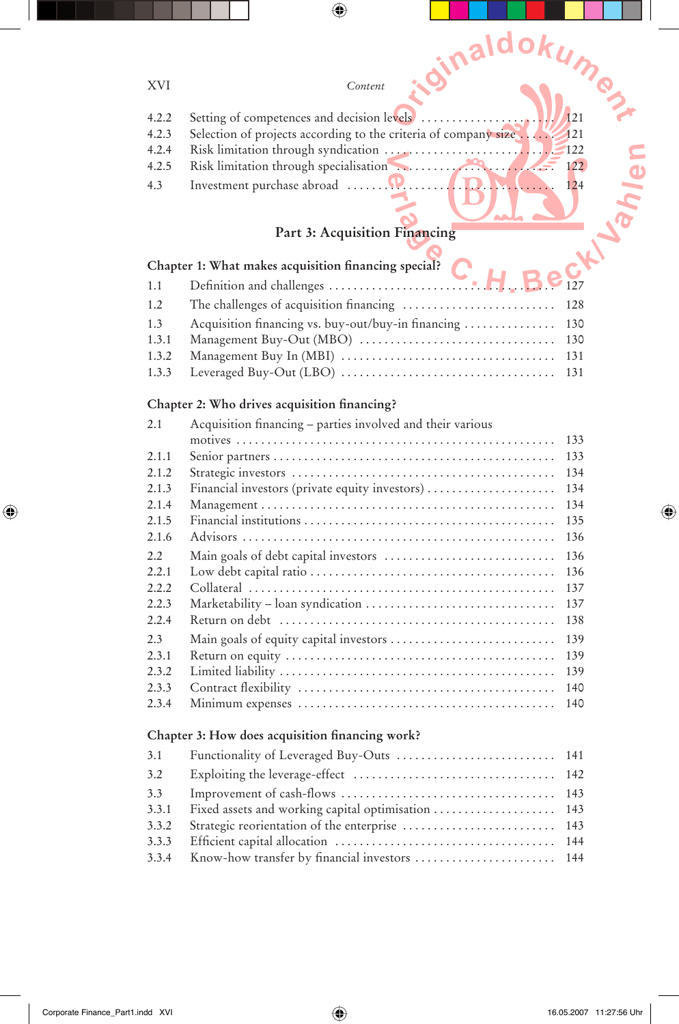| - - | -- |
|-----|----|

| XVI   | Content                                                                        |
|-------|--------------------------------------------------------------------------------|
| 4.2.2 | 121                                                                            |
| 4.2.3 | Selection of projects according to the criteria of company size.<br><b>121</b> |
| 4.2.4 |                                                                                |
| 4.2.5 | Risk limitation through specialisation<br>122                                  |
| 4.3   | 124                                                                            |
|       | Part 3: Acquisition Financing                                                  |
|       | Chapter 1: What makes acquisition financing special?                           |
| 1.1   |                                                                                |

 $\bigoplus$ 

*<u>Cinaldok</u>* 

## **Part 3: Acquisition Financing**

# Chapter 1: What makes acquisition financing special?

| 1.1 |                                                         |  |
|-----|---------------------------------------------------------|--|
| 1.2 |                                                         |  |
| 1.3 | Acquisition financing vs. buy-out/buy-in financing  130 |  |
|     |                                                         |  |
|     |                                                         |  |
|     |                                                         |  |
|     |                                                         |  |

#### Chapter 2: Who drives acquisition financing?

| 2.1   | Acquisition financing - parties involved and their various |     |
|-------|------------------------------------------------------------|-----|
|       |                                                            | 133 |
| 2.1.1 |                                                            | 133 |
| 2.1.2 |                                                            | 134 |
| 2.1.3 | Financial investors (private equity investors)             | 134 |
| 2.1.4 |                                                            | 134 |
| 2.1.5 |                                                            | 135 |
| 2.1.6 |                                                            | 136 |
| 2.2   |                                                            | 136 |
| 2.2.1 |                                                            | 136 |
| 2.2.2 |                                                            | 137 |
| 2.2.3 |                                                            | 137 |
| 2.2.4 |                                                            | 138 |
| 2.3   |                                                            | 139 |
| 2.3.1 |                                                            | 139 |
| 2.3.2 |                                                            | 139 |
| 2.3.3 |                                                            | 140 |
| 2.3.4 |                                                            | 140 |

#### Chapter 3: How does acquisition financing work?

| 3.1   |  |
|-------|--|
| 3.2   |  |
| 3.3   |  |
| 3.3.1 |  |
| 3.3.2 |  |
| 3.3.3 |  |
|       |  |
|       |  |

 $\bigoplus$ 

 $\bigoplus$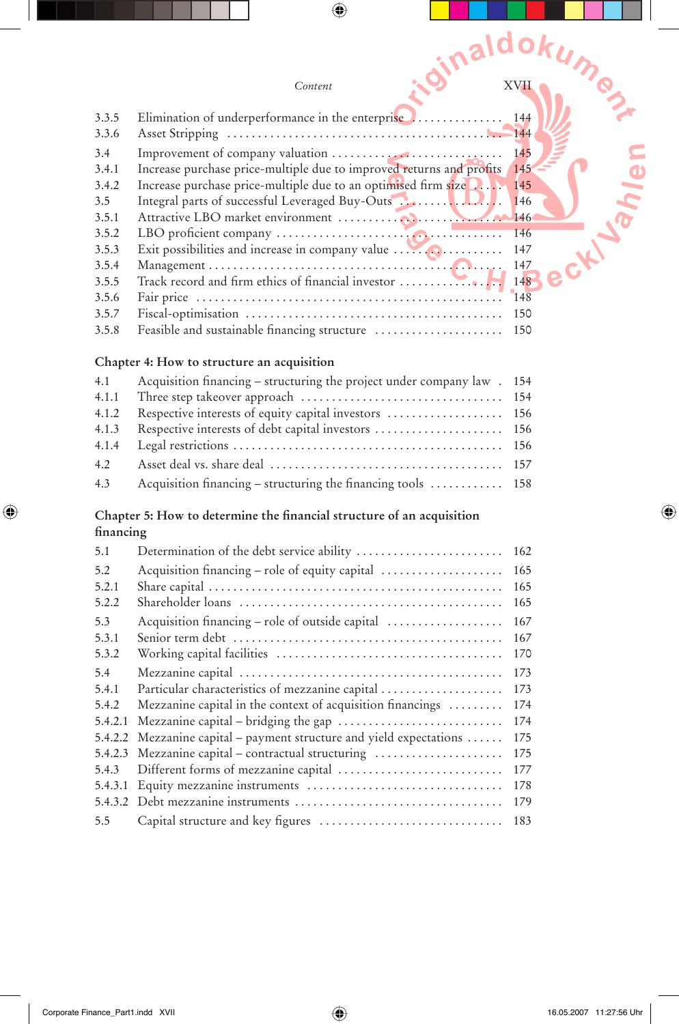|           |                                                                       | idinaldokume |
|-----------|-----------------------------------------------------------------------|--------------|
|           | Content                                                               |              |
| 3.3.5     | Elimination of underperformance in the enterprise                     | 144          |
| 3.3.6     |                                                                       |              |
| 3.4       |                                                                       | 145          |
| 3.4.1     | Increase purchase price-multiple due to improved returns and profits  | 145          |
| 3.4.2     | Increase purchase price-multiple due to an optimised firm size        | 145          |
| 3.5       | Integral parts of successful Leveraged Buy-Outs                       | 146          |
| 3.5.1     |                                                                       | 146          |
| 3.5.2     |                                                                       | 146          |
| 3.5.3     |                                                                       | 147          |
| 3.5.4     |                                                                       | 147          |
| 3.5.5     | Track record and firm ethics of financial investor                    | 148          |
| 3.5.6     |                                                                       | 148          |
| 3.5.7     |                                                                       | 150          |
| 3.5.8     |                                                                       | 150          |
|           | Chapter 4: How to structure an acquisition                            |              |
| 4.1       | Acquisition financing - structuring the project under company law.    | 154          |
| 4.1.1     |                                                                       | 154          |
| 4.1.2     | Respective interests of equity capital investors                      | 156          |
| 4.1.3     | Respective interests of debt capital investors                        | 156          |
| 4.1.4     |                                                                       | 156          |
| 4.2       |                                                                       | 157          |
| 4.3       | Acquisition financing – structuring the financing tools               | 158          |
|           | Chapter 5: How to determine the financial structure of an acquisition |              |
| financing |                                                                       |              |
| 5.1       |                                                                       | 162          |
| 5.2       | Acquisition financing - role of equity capital                        | 165          |
| 5.2.1     |                                                                       | 165          |
| 5.2.2     |                                                                       | 165          |
| 5.3       |                                                                       |              |
| 5.3.1     |                                                                       | 167          |
| 5.3.2     |                                                                       | 170          |
| 5.4       |                                                                       | 173          |
| 5.4.1     | Particular characteristics of mezzanine capital                       | 173          |
| 5.4.2     | Mezzanine capital in the context of acquisition financings            | 174          |
| 5.4.2.1   |                                                                       | 174          |
|           | 5.4.2.2 Mezzanine capital - payment structure and yield expectations  | 175          |
| 5.4.2.3   | Mezzanine capital - contractual structuring                           | 175          |
| 5.4.3     | Different forms of mezzanine capital                                  | 177          |
| 5.4.3.1   |                                                                       | 178          |
|           |                                                                       | 179          |
| 5.5       |                                                                       | 183          |

 $\bigoplus$ 

 $\mathop{\textstyle\prod}$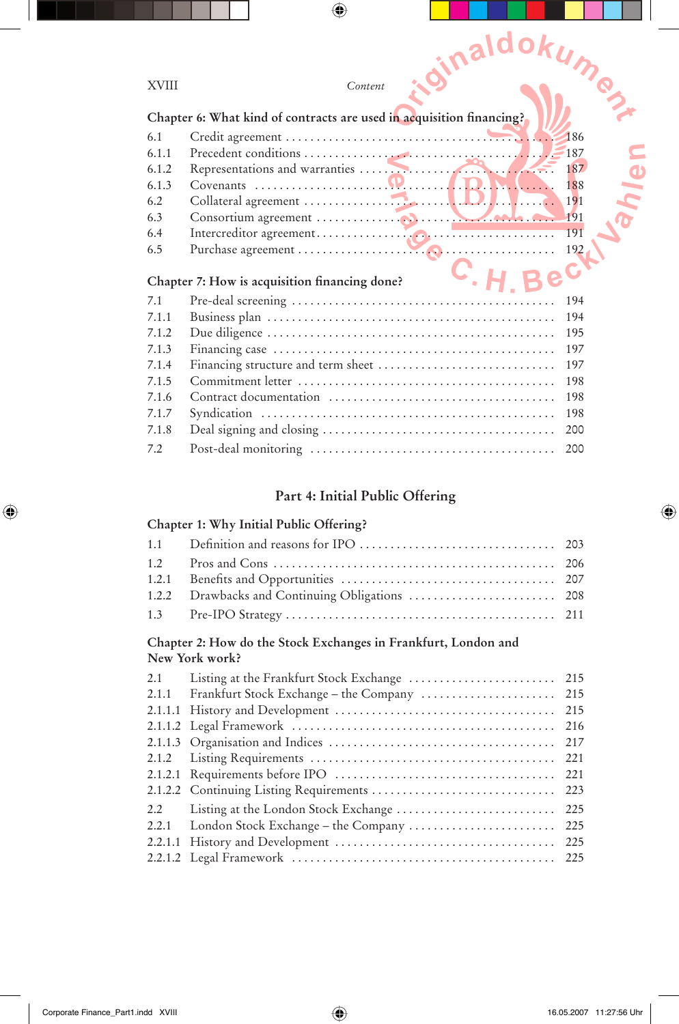| <b>XVIII</b> | .idinalgoku<br>Content                                               | <b>IMPS</b> |
|--------------|----------------------------------------------------------------------|-------------|
|              | Chapter 6: What kind of contracts are used in acquisition financing? |             |
| 6.1          |                                                                      | 186         |
| 6.1.1        |                                                                      |             |
| 6.1.2        |                                                                      | 187         |
| 6.1.3        |                                                                      | 188         |
| 6.2          |                                                                      | 191         |
| 6.3          |                                                                      | 191         |
| 6.4          |                                                                      | 191         |
| 6.5          |                                                                      | 192         |
|              | Bec<br>Chapter 7: How is acquisition financing done?                 |             |
| 7.1          |                                                                      | 194         |
| 7.1.1        |                                                                      | 194         |
| 7.1.2        |                                                                      | 195         |
| 7.1.3        |                                                                      | 197         |
| 7.1.4        |                                                                      | 197         |
| 7.1.5        |                                                                      | 198         |
| 7.1.6        |                                                                      | 198         |
| 7.1.7        |                                                                      | 198         |
| 7.1.8        |                                                                      | 200         |

#### **Part 4: Initial Public Offering**

7.2 Post-deal monitoring . . . . . . . . . . . . . . . . . . . . . . . . . . . . . . . . . . . . . . . . 200

#### **Chapter 1: Why Initial Public Offering?**

#### **Chapter 2: How do the Stock Exchanges in Frankfurt, London and New York work?**

| 2.1   |                                             |  |
|-------|---------------------------------------------|--|
| 2.1.1 | Frankfurt Stock Exchange - the Company  215 |  |
|       |                                             |  |
|       |                                             |  |
|       |                                             |  |
|       |                                             |  |
|       |                                             |  |
|       |                                             |  |
| 2.2   |                                             |  |
|       |                                             |  |
|       |                                             |  |
|       |                                             |  |
|       |                                             |  |

 $\bigoplus$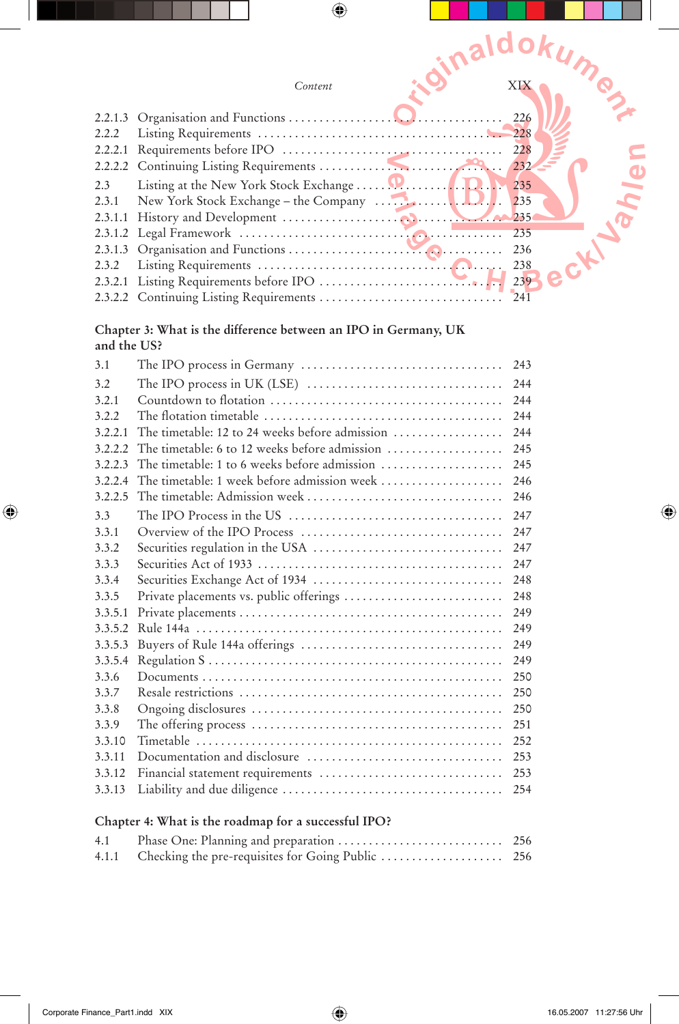|         | inaldokumez                                    |  |
|---------|------------------------------------------------|--|
|         | Content                                        |  |
| 2.2.1.3 | 226                                            |  |
| 2.2.2   |                                                |  |
| 2.2.2.1 | 228                                            |  |
| 2.3     | 235                                            |  |
| 2.3.1   | 235                                            |  |
| 2.3.1.1 |                                                |  |
|         | 235                                            |  |
|         | 236                                            |  |
| 2.3.2   | 238                                            |  |
|         | 239                                            |  |
|         | 2.3.2.2 Continuing Listing Requirements<br>241 |  |

## **Chapter 3: What is the difference between an IPO in Germany, UK and the US?**

| 3.1     |                                                                                                          | 243 |
|---------|----------------------------------------------------------------------------------------------------------|-----|
| 3.2     |                                                                                                          | 244 |
| 3.2.1   |                                                                                                          | 244 |
| 3.2.2   | The flotation timetable $\ldots, \ldots, \ldots, \ldots, \ldots, \ldots, \ldots, \ldots, \ldots, \ldots$ | 244 |
| 3.2.2.1 | The timetable: 12 to 24 weeks before admission                                                           | 244 |
| 3.2.2.2 | The timetable: 6 to 12 weeks before admission                                                            | 245 |
| 3.2.2.3 | The timetable: 1 to 6 weeks before admission                                                             | 245 |
| 3.2.2.4 | The timetable: 1 week before admission week                                                              | 246 |
| 3.2.2.5 |                                                                                                          | 246 |
| 3.3     | The IPO Process in the US $\dots\dots\dots\dots\dots\dots\dots\dots\dots\dots\dots\dots\dots$            | 247 |
| 3.3.1   |                                                                                                          | 247 |
| 3.3.2   | Securities regulation in the USA                                                                         | 247 |
| 3.3.3   |                                                                                                          | 247 |
| 3.3.4   |                                                                                                          | 248 |
| 3.3.5   | Private placements vs. public offerings                                                                  | 248 |
| 3.3.5.1 |                                                                                                          | 249 |
| 3.3.5.2 |                                                                                                          | 249 |
| 3.3.5.3 |                                                                                                          | 249 |
| 3.3.5.4 |                                                                                                          | 249 |
| 3.3.6   |                                                                                                          | 250 |
| 3.3.7   |                                                                                                          | 250 |
| 3.3.8   |                                                                                                          | 250 |
| 3.3.9   |                                                                                                          | 251 |
| 3.3.10  |                                                                                                          | 252 |
| 3.3.11  | Documentation and disclosure                                                                             | 253 |
| 3.3.12  | Financial statement requirements                                                                         | 253 |
| 3.3.13  |                                                                                                          | 254 |

## **Chapter 4: What is the roadmap for a successful IPO?**

| 4.1 |  |
|-----|--|
|     |  |

 $\bigoplus$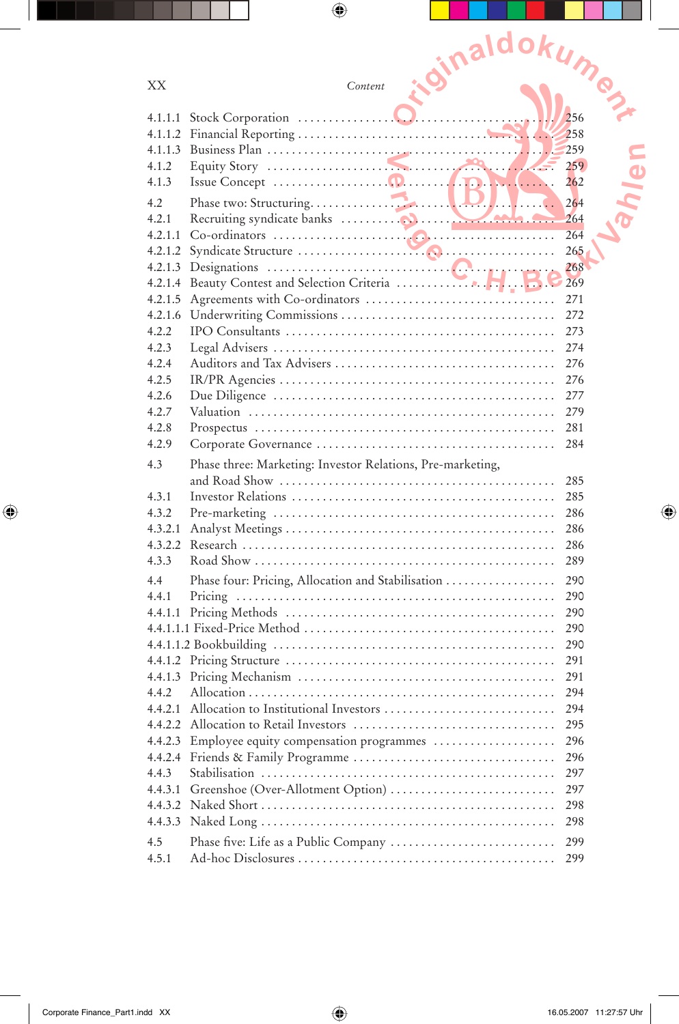|                  | ioinaldokume                                               |            |
|------------------|------------------------------------------------------------|------------|
|                  |                                                            |            |
| XX               | Content                                                    |            |
| 4.1.1.1          | .                                                          | 256        |
| 4.1.1.2          |                                                            | 258        |
| 4.1.1.3          |                                                            | 259        |
| 4.1.2            |                                                            | 259        |
| 4.1.3            |                                                            | 262        |
| 4.2              |                                                            | 264        |
| 4.2.1            |                                                            | 264        |
| 4.2.1.1          |                                                            | 264        |
|                  |                                                            | 265<br>268 |
|                  | 4.2.1.4 Beauty Contest and Selection Criteria              | 269        |
| 4.2.1.5          |                                                            | 271        |
|                  |                                                            | 272        |
| 4.2.2            |                                                            | 273        |
| 4.2.3            |                                                            | 274        |
| 4.2.4            |                                                            | 276        |
| 4.2.5            |                                                            | 276        |
| 4.2.6<br>4.2.7   |                                                            | 277<br>279 |
| 4.2.8            |                                                            | 281        |
| 4.2.9            |                                                            | 284        |
| 4.3              | Phase three: Marketing: Investor Relations, Pre-marketing, |            |
|                  |                                                            | 285        |
| 4.3.1            |                                                            | 285        |
| 4.3.2            |                                                            | 286        |
| 4.3.2.1          |                                                            | 286        |
| 4.3.2.2          |                                                            | 286        |
| 4.3.3            |                                                            | 289        |
| 4.4              | Phase four: Pricing, Allocation and Stabilisation          | 290        |
| 4.4.1            |                                                            | 290<br>290 |
| 4.4.1.1          |                                                            | 290        |
|                  |                                                            | 290        |
|                  |                                                            | 291        |
| 4.4.1.3          |                                                            | 291        |
| 4.4.2            |                                                            | 294        |
| 4.4.2.1          | Allocation to Institutional Investors                      | 294        |
| 4.4.2.2          |                                                            | 295        |
| 4.4.2.3          | Employee equity compensation programmes                    | 296        |
| 4.4.2.4<br>4.4.3 |                                                            | 296<br>297 |
| 4.4.3.1          |                                                            | 297        |
|                  |                                                            | 298        |
| 4.4.3.3          |                                                            | 298        |
| 4.5              |                                                            | 299        |
| 4.5.1            |                                                            | 299        |

 $\bigoplus$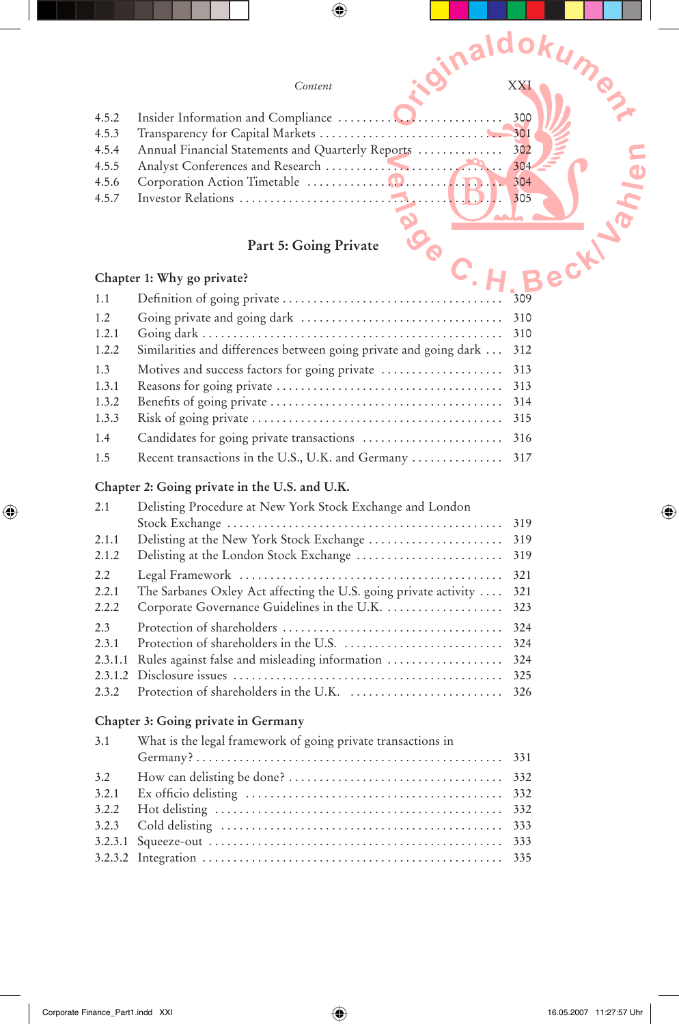|       | Content                                           | XX. |
|-------|---------------------------------------------------|-----|
| 4.5.2 |                                                   | 300 |
| 4.5.3 |                                                   | 301 |
| 4.5.4 | Annual Financial Statements and Quarterly Reports | 302 |
| 4.5.5 |                                                   | 304 |
| 4.5.6 |                                                   | 304 |
| 4.5.7 |                                                   | 305 |
|       |                                                   |     |
|       | Part 5: Going Private                             |     |
|       | Chapter 1: Why go private?                        |     |

# **Part 5: Going Private**

|  |  |  |  | Chapter 1: Why go private? |
|--|--|--|--|----------------------------|
|--|--|--|--|----------------------------|

| 1.1   |                                                                   |     |
|-------|-------------------------------------------------------------------|-----|
| 1.2   |                                                                   |     |
| 1.2.1 |                                                                   | 310 |
| 1.2.2 | Similarities and differences between going private and going dark | 312 |
| 1.3   | Motives and success factors for going private                     | 313 |
| 1.3.1 |                                                                   | 313 |
| 1.3.2 |                                                                   | 314 |
| 1.3.3 |                                                                   | 315 |
| 1.4   |                                                                   | 316 |
| 1.5   | Recent transactions in the U.S., U.K. and Germany  317            |     |

## **Chapter 2: Going private in the U.S. and U.K.**

| 2.1     | Delisting Procedure at New York Stock Exchange and London        |     |
|---------|------------------------------------------------------------------|-----|
|         |                                                                  | 319 |
| 2.1.1   |                                                                  | 319 |
| 2.1.2   |                                                                  | 319 |
| 2.2     |                                                                  | 321 |
| 2.2.1   | The Sarbanes Oxley Act affecting the U.S. going private activity | 321 |
| 2.2.2   | Corporate Governance Guidelines in the U.K.                      | 323 |
| 2.3     |                                                                  | 324 |
| 2.3.1   |                                                                  | 324 |
| 2.3.1.1 | Rules against false and misleading information                   | 324 |
|         |                                                                  | 325 |
| 2.3.2   |                                                                  | 326 |

#### **Chapter 3: Going private in Germany**

| 3.1 | What is the legal framework of going private transactions in |  |  |
|-----|--------------------------------------------------------------|--|--|
|     |                                                              |  |  |
|     |                                                              |  |  |
|     |                                                              |  |  |
|     |                                                              |  |  |
|     |                                                              |  |  |
|     |                                                              |  |  |
|     |                                                              |  |  |

 $\bigoplus$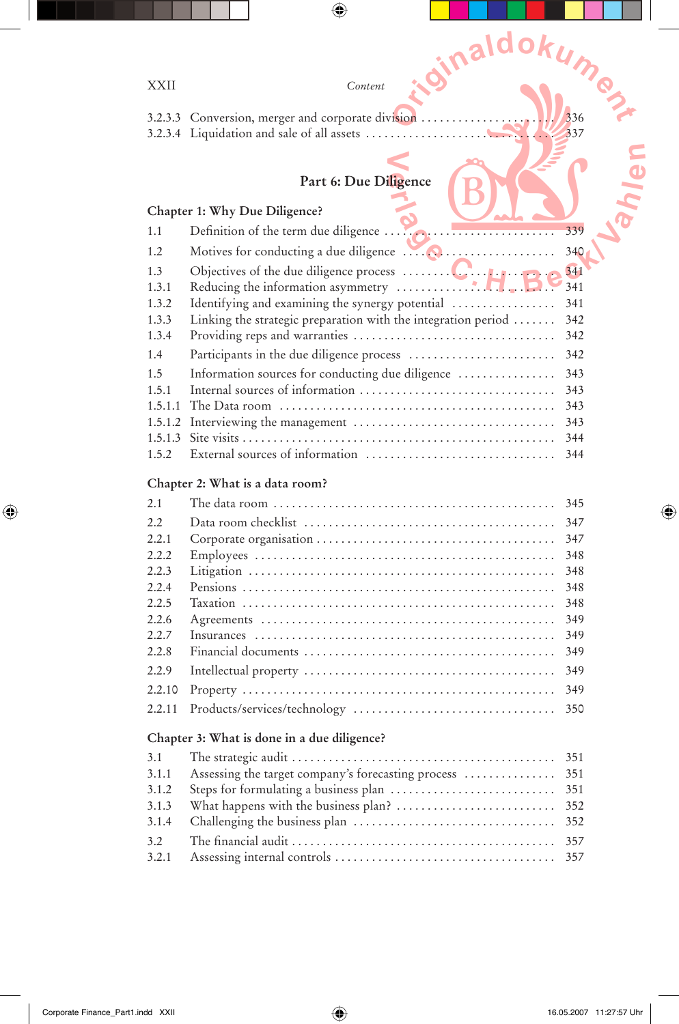| XXII             | iginaldokume<br>Content                                       |            |  |  |  |
|------------------|---------------------------------------------------------------|------------|--|--|--|
|                  |                                                               |            |  |  |  |
|                  | 3.2.3.3 Conversion, merger and corporate division             | 336        |  |  |  |
|                  | 3.2.3.4 Liquidation and sale of all assets                    | 337        |  |  |  |
|                  |                                                               |            |  |  |  |
|                  | Part 6: Due Diligence                                         |            |  |  |  |
|                  |                                                               |            |  |  |  |
|                  | Chapter 1: Why Due Diligence?                                 |            |  |  |  |
| 1.1              | Definition of the term due diligence                          | 339        |  |  |  |
| 1.2              |                                                               | 340        |  |  |  |
| 1.3              |                                                               | 341        |  |  |  |
| 1.3.1            |                                                               | 341        |  |  |  |
| 1.3.2            | Identifying and examining the synergy potential               | 341        |  |  |  |
| 1.3.3            | Linking the strategic preparation with the integration period | 342        |  |  |  |
| 1.3.4            |                                                               | 342        |  |  |  |
| 1.4              |                                                               | 342        |  |  |  |
| 1.5              | Information sources for conducting due diligence              | 343        |  |  |  |
| 1.5.1<br>1.5.1.1 | Internal sources of information                               | 343<br>343 |  |  |  |
| 1.5.1.2          |                                                               | 343        |  |  |  |
| 1.5.1.3          |                                                               | 344        |  |  |  |
| 1.5.2            | External sources of information                               | 344        |  |  |  |
|                  | Chapter 2: What is a data room?                               |            |  |  |  |
| 2.1              |                                                               | 345        |  |  |  |
| 2.2              |                                                               | 347        |  |  |  |
| 2.2.1            |                                                               | 347        |  |  |  |
| 2.2.2            |                                                               | 348        |  |  |  |
| 2.2.3            |                                                               | 348        |  |  |  |
| 2.2.4            |                                                               | 348        |  |  |  |
| 2.2.5            |                                                               | 348        |  |  |  |
| 2.2.6            |                                                               | 349        |  |  |  |
| 2.2.7<br>2.2.8   |                                                               | 349<br>349 |  |  |  |
|                  |                                                               |            |  |  |  |
| 2.2.9            |                                                               | 349        |  |  |  |
| 2.2.10           |                                                               | 349        |  |  |  |
| 2.2.11           |                                                               | 350        |  |  |  |
|                  | Chapter 3: What is done in a due diligence?                   |            |  |  |  |
| 3.1              |                                                               | 351        |  |  |  |
| 3.1.1            | Assessing the target company's forecasting process            | 351        |  |  |  |
| 3.1.2            |                                                               | 351        |  |  |  |
| 3.1.3<br>3.1.4   |                                                               | 352<br>352 |  |  |  |
|                  |                                                               |            |  |  |  |
| 3.2<br>3.2.1     |                                                               | 357<br>357 |  |  |  |
|                  |                                                               |            |  |  |  |

 $\bigoplus$ 

 $\mathop{\textstyle\prod}$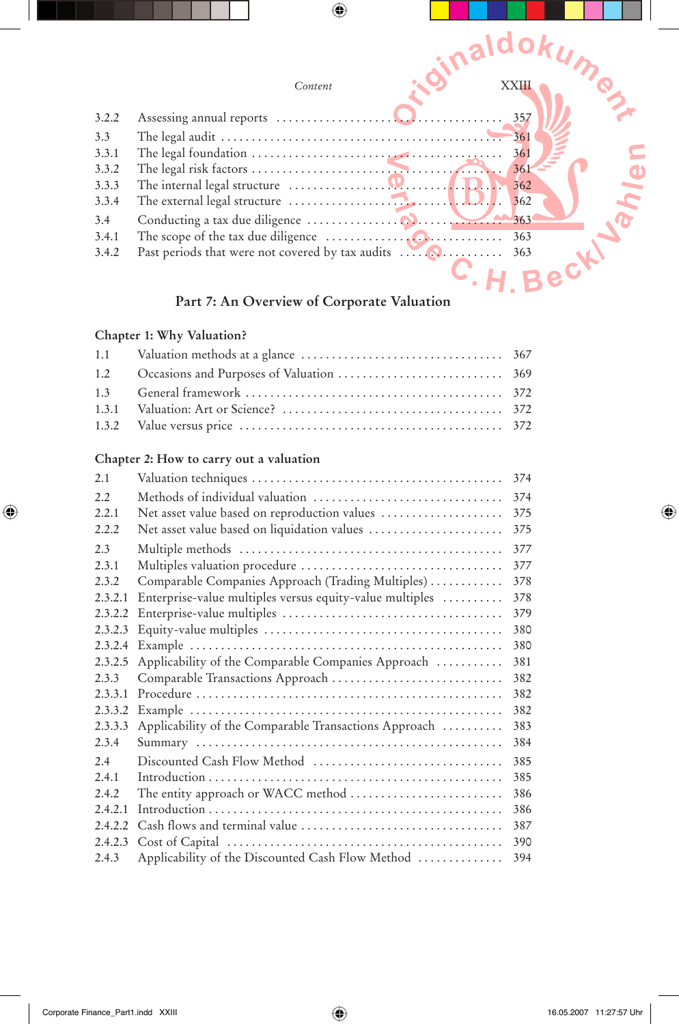

#### **Part 7: An Overview of Corporate Valuation**

#### **Chapter 1: Why Valuation?**

 $\bigcirc$ 

#### **Chapter 2: How to carry out a valuation**

| 2.1     |                                                          | 374 |
|---------|----------------------------------------------------------|-----|
| 2.2     | Methods of individual valuation                          | 374 |
| 2.2.1   | Net asset value based on reproduction values             | 375 |
| 2.2.2   | Net asset value based on liquidation values              | 375 |
| 2.3     |                                                          | 377 |
| 2.3.1   |                                                          | 377 |
| 2.3.2   | Comparable Companies Approach (Trading Multiples)        | 378 |
| 2.3.2.1 | Enterprise-value multiples versus equity-value multiples | 378 |
| 2.3.2.2 |                                                          | 379 |
| 2.3.2.3 |                                                          | 380 |
| 2.3.2.4 |                                                          | 380 |
| 2.3.2.5 | Applicability of the Comparable Companies Approach       | 381 |
| 2.3.3   |                                                          | 382 |
| 2.3.3.1 |                                                          | 382 |
| 2.3.3.2 |                                                          | 382 |
| 2.3.3.3 | Applicability of the Comparable Transactions Approach    | 383 |
| 2.3.4   |                                                          | 384 |
| 2.4     | Discounted Cash Flow Method                              | 385 |
| 2.4.1   |                                                          | 385 |
| 2.4.2   | The entity approach or WACC method                       | 386 |
| 2.4.2.1 |                                                          | 386 |
| 2.4.2.2 |                                                          | 387 |
| 2.4.2.3 |                                                          | 390 |
| 2.4.3   | Applicability of the Discounted Cash Flow Method         | 394 |

⊕